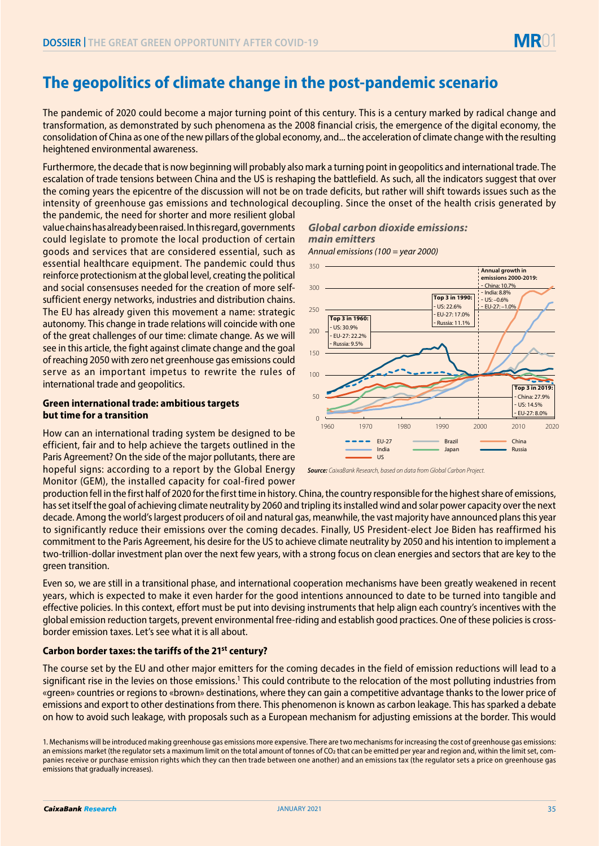# **The geopolitics of climate change in the post-pandemic scenario**

The pandemic of 2020 could become a major turning point of this century. This is a century marked by radical change and transformation, as demonstrated by such phenomena as the 2008 financial crisis, the emergence of the digital economy, the consolidation of China as one of the new pillars of the global economy, and... the acceleration of climate change with the resulting heightened environmental awareness.

Furthermore, the decade that is now beginning will probably also mark a turning point in geopolitics and international trade. The escalation of trade tensions between China and the US is reshaping the battlefield. As such, all the indicators suggest that over the coming years the epicentre of the discussion will not be on trade deficits, but rather will shift towards issues such as the intensity of greenhouse gas emissions and technological decoupling. Since the onset of the health crisis generated by

the pandemic, the need for shorter and more resilient global value chains has already been raised. In this regard, governments could legislate to promote the local production of certain goods and services that are considered essential, such as essential healthcare equipment. The pandemic could thus reinforce protectionism at the global level, creating the political and social consensuses needed for the creation of more selfsufficient energy networks, industries and distribution chains. The EU has already given this movement a name: strategic autonomy. This change in trade relations will coincide with one of the great challenges of our time: climate change. As we will see in this article, the fight against climate change and the goal of reaching 2050 with zero net greenhouse gas emissions could serve as an important impetus to rewrite the rules of international trade and geopolitics.

### **Green international trade: ambitious targets but time for a transition**

How can an international trading system be designed to be efficient, fair and to help achieve the targets outlined in the Paris Agreement? On the side of the major pollutants, there are hopeful signs: according to a report by the Global Energy Monitor (GEM), the installed capacity for coal-fired power

## *Global carbon dioxide emissions: main emitters*

*Annual emissions (100 = year 2000)*



*Source: CaixaBank Research, based on data from Global Carbon Project.*

production fell in the first half of 2020 for the first time in history. China, the country responsible for the highest share of emissions, has set itself the goal of achieving climate neutrality by 2060 and tripling its installed wind and solar power capacity over the next decade. Among the world's largest producers of oil and natural gas, meanwhile, the vast majority have announced plans this year to significantly reduce their emissions over the coming decades. Finally, US President-elect Joe Biden has reaffirmed his commitment to the Paris Agreement, his desire for the US to achieve climate neutrality by 2050 and his intention to implement a two-trillion-dollar investment plan over the next few years, with a strong focus on clean energies and sectors that are key to the green transition.

Even so, we are still in a transitional phase, and international cooperation mechanisms have been greatly weakened in recent years, which is expected to make it even harder for the good intentions announced to date to be turned into tangible and effective policies. In this context, effort must be put into devising instruments that help align each country's incentives with the global emission reduction targets, prevent environmental free-riding and establish good practices. One of these policies is crossborder emission taxes. Let's see what it is all about.

## **Carbon border taxes: the tariffs of the 21st century?**

The course set by the EU and other major emitters for the coming decades in the field of emission reductions will lead to a significant rise in the levies on those emissions.<sup>1</sup> This could contribute to the relocation of the most polluting industries from «green» countries or regions to «brown» destinations, where they can gain a competitive advantage thanks to the lower price of emissions and export to other destinations from there. This phenomenon is known as carbon leakage. This has sparked a debate on how to avoid such leakage, with proposals such as a European mechanism for adjusting emissions at the border. This would

<sup>1.</sup> Mechanisms will be introduced making greenhouse gas emissions more expensive. There are two mechanisms for increasing the cost of greenhouse gas emissions: an emissions market (the regulator sets a maximum limit on the total amount of tonnes of CO2 that can be emitted per year and region and, within the limit set, companies receive or purchase emission rights which they can then trade between one another) and an emissions tax (the regulator sets a price on greenhouse gas emissions that gradually increases).